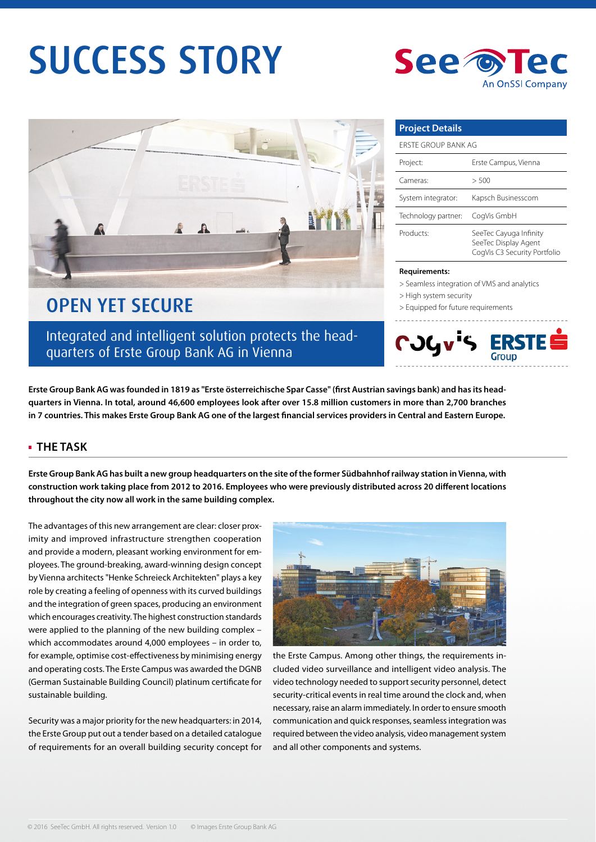# SUCCESS STORY



## OPEN YET SECURE

Integrated and intelligent solution protects the headquarters of Erste Group Bank AG in Vienna

**Project Details** ERSTE GROUP BANK AG Project: Erste Campus, Vienna Cameras: > 500 System integrator: Kapsch Businesscom Technology partner: CogVis GmbH Products: SeeTec Cayuga Infinity SeeTec Display Agent CogVis C3 Security Portfolio

**An OnSSI Company** 

#### **Requirements:**

- > Seamless integration of VMS and analytics
- > High system security

See to

> Equipped for future requirements



Erste Group Bank AG was founded in 1819 as "Erste österreichische Spar Casse" (first Austrian savings bank) and has its head**quarters in Vienna. In total, around 46,600 employees look after over 15.8 million customers in more than 2,700 branches**  in 7 countries. This makes Erste Group Bank AG one of the largest financial services providers in Central and Eastern Europe.

#### **THE TASK**

**Erste Group Bank AG has built a new group headquarters on the site of the former Südbahnhof railway station in Vienna, with**  construction work taking place from 2012 to 2016. Employees who were previously distributed across 20 different locations **throughout the city now all work in the same building complex.** 

The advantages of this new arrangement are clear: closer proximity and improved infrastructure strengthen cooperation and provide a modern, pleasant working environment for employees. The ground-breaking, award-winning design concept by Vienna architects "Henke Schreieck Architekten" plays a key role by creating a feeling of openness with its curved buildings and the integration of green spaces, producing an environment which encourages creativity. The highest construction standards were applied to the planning of the new building complex – which accommodates around 4,000 employees – in order to, for example, optimise cost-effectiveness by minimising energy and operating costs. The Erste Campus was awarded the DGNB (German Sustainable Building Council) platinum certificate for sustainable building.

Security was a major priority for the new headquarters: in 2014, the Erste Group put out a tender based on a detailed catalogue of requirements for an overall building security concept for



the Erste Campus. Among other things, the requirements included video surveillance and intelligent video analysis. The video technology needed to support security personnel, detect security-critical events in real time around the clock and, when necessary, raise an alarm immediately. In order to ensure smooth communication and quick responses, seamless integration was required between the video analysis, video management system and all other components and systems.